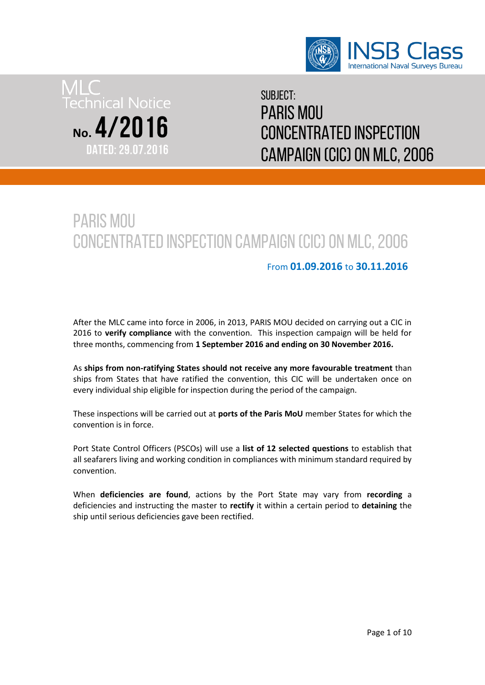



Subject: Paris mou Concentrated Inspection Campaign (CIC) on MLC, 2006

# Paris mou Concentrated Inspection Campaign (CIC) on MLC, 2006

#### From **01.09.2016** to **30.11.2016**

After the MLC came into force in 2006, in 2013, PARIS MOU decided on carrying out a CIC in 2016 to **verify compliance** with the convention. This inspection campaign will be held for three months, commencing from **1 September 2016 and ending on 30 November 2016.**

As **ships from non-ratifying States should not receive any more favourable treatment** than ships from States that have ratified the convention, this CIC will be undertaken once on every individual ship eligible for inspection during the period of the campaign.

These inspections will be carried out at **ports of the Paris MoU** member States for which the convention is in force.

Port State Control Officers (PSCOs) will use a **list of 12 selected questions** to establish that all seafarers living and working condition in compliances with minimum standard required by convention.

When **deficiencies are found**, actions by the Port State may vary from **recording** a deficiencies and instructing the master to **rectify** it within a certain period to **detaining** the ship until serious deficiencies gave been rectified.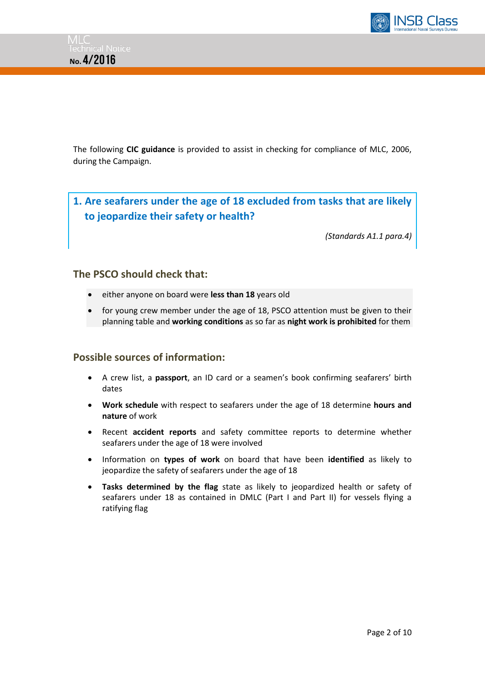

The following **CIC guidance** is provided to assist in checking for compliance of MLC, 2006, during the Campaign.

**1. Are seafarers under the age of 18 excluded from tasks that are likely to jeopardize their safety or health?** 

*(Standards A1.1 para.4)*

#### **The PSCO should check that:**

- either anyone on board were **less than 18** years old
- for young crew member under the age of 18, PSCO attention must be given to their planning table and **working conditions** as so far as **night work is prohibited** for them

- A crew list, a **passport**, an ID card or a seamen's book confirming seafarers' birth dates
- **Work schedule** with respect to seafarers under the age of 18 determine **hours and nature** of work
- Recent **accident reports** and safety committee reports to determine whether seafarers under the age of 18 were involved
- Information on **types of work** on board that have been **identified** as likely to jeopardize the safety of seafarers under the age of 18
- **Tasks determined by the flag** state as likely to jeopardized health or safety of seafarers under 18 as contained in DMLC (Part I and Part II) for vessels flying a ratifying flag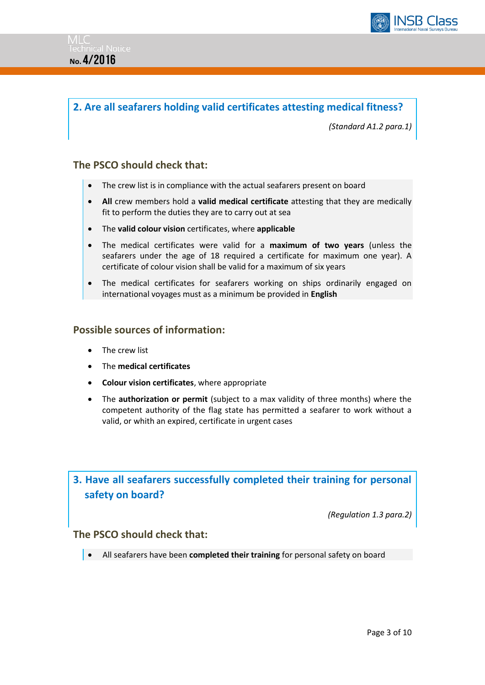

### **2. Are all seafarers holding valid certificates attesting medical fitness?**

*(Standard A1.2 para.1)*

#### **The PSCO should check that:**

- The crew list is in compliance with the actual seafarers present on board
- **All** crew members hold a **valid medical certificate** attesting that they are medically fit to perform the duties they are to carry out at sea
- The **valid colour vision** certificates, where **applicable**
- The medical certificates were valid for a **maximum of two years** (unless the seafarers under the age of 18 required a certificate for maximum one year). A certificate of colour vision shall be valid for a maximum of six years
- The medical certificates for seafarers working on ships ordinarily engaged on international voyages must as a minimum be provided in **English**

#### **Possible sources of information:**

- The crew list
- The **medical certificates**
- **Colour vision certificates**, where appropriate
- The **authorization or permit** (subject to a max validity of three months) where the competent authority of the flag state has permitted a seafarer to work without a valid, or whith an expired, certificate in urgent cases

# **3. Have all seafarers successfully completed their training for personal safety on board?**

*(Regulation 1.3 para.2)*

#### **The PSCO should check that:**

All seafarers have been **completed their training** for personal safety on board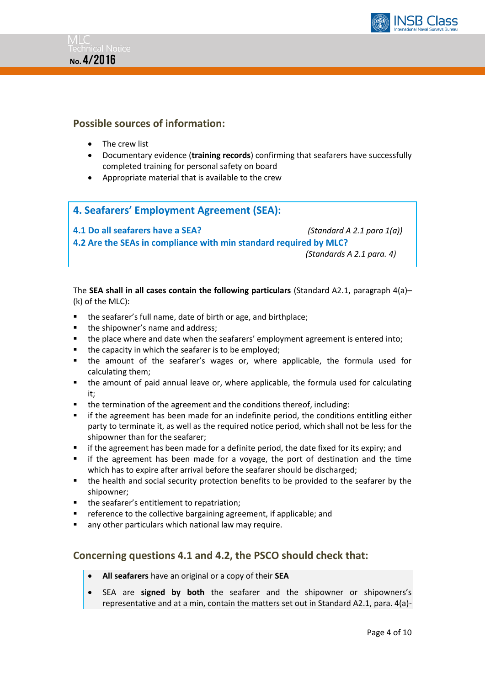



#### **Possible sources of information:**

- The crew list
- Documentary evidence (**training records**) confirming that seafarers have successfully completed training for personal safety on board
- Appropriate material that is available to the crew

#### **4. Seafarers' Employment Agreement (SEA):**

**4.1 Do all seafarers have a SEA?** *(Standard A 2.1 para 1(a))* **4.2 Are the SEAs in compliance with min standard required by MLC?**   *(Standards A 2.1 para. 4)*

The **SEA shall in all cases contain the following particulars** (Standard A2.1, paragraph 4(a)– (k) of the MLC):

- the seafarer's full name, date of birth or age, and birthplace;
- the shipowner's name and address;
- the place where and date when the seafarers' employment agreement is entered into;
- the capacity in which the seafarer is to be employed;
- the amount of the seafarer's wages or, where applicable, the formula used for calculating them;
- the amount of paid annual leave or, where applicable, the formula used for calculating it;
- the termination of the agreement and the conditions thereof, including:
- if the agreement has been made for an indefinite period, the conditions entitling either party to terminate it, as well as the required notice period, which shall not be less for the shipowner than for the seafarer;
- **F** if the agreement has been made for a definite period, the date fixed for its expiry; and
- if the agreement has been made for a voyage, the port of destination and the time which has to expire after arrival before the seafarer should be discharged;
- the health and social security protection benefits to be provided to the seafarer by the shipowner;
- the seafarer's entitlement to repatriation;
- **F** reference to the collective bargaining agreement, if applicable; and
- **E** any other particulars which national law may require.

#### **Concerning questions 4.1 and 4.2, the PSCO should check that:**

- **All seafarers** have an original or a copy of their **SEA**
- SEA are **signed by both** the seafarer and the shipowner or shipowners's representative and at a min, contain the matters set out in Standard A2.1, para. 4(a)-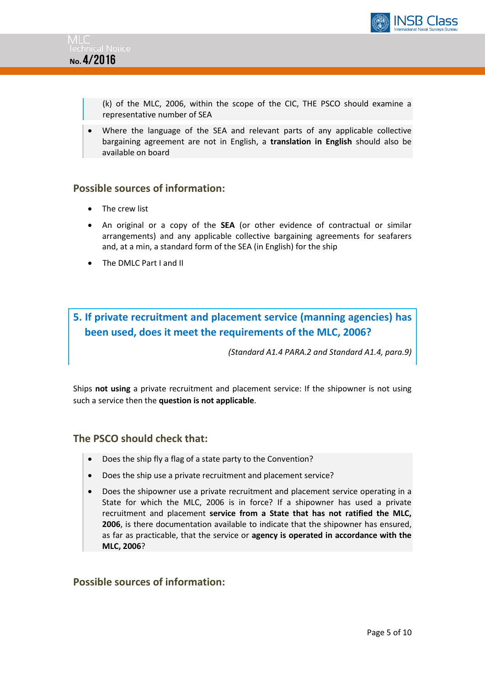



(k) of the MLC, 2006, within the scope of the CIC, THE PSCO should examine a representative number of SEA

 Where the language of the SEA and relevant parts of any applicable collective bargaining agreement are not in English, a **translation in English** should also be available on board

#### **Possible sources of information:**

- The crew list
- An original or a copy of the **SEA** (or other evidence of contractual or similar arrangements) and any applicable collective bargaining agreements for seafarers and, at a min, a standard form of the SEA (in English) for the ship
- The DMLC Part I and II

# **5. If private recruitment and placement service (manning agencies) has been used, does it meet the requirements of the MLC, 2006?**

*(Standard A1.4 PARA.2 and Standard A1.4, para.9)*

Ships **not using** a private recruitment and placement service: If the shipowner is not using such a service then the **question is not applicable**.

#### **The PSCO should check that:**

- Does the ship fly a flag of a state party to the Convention?
- Does the ship use a private recruitment and placement service?
- Does the shipowner use a private recruitment and placement service operating in a State for which the MLC, 2006 is in force? If a shipowner has used a private recruitment and placement **service from a State that has not ratified the MLC, 2006**, is there documentation available to indicate that the shipowner has ensured, as far as practicable, that the service or **agency is operated in accordance with the MLC, 2006**?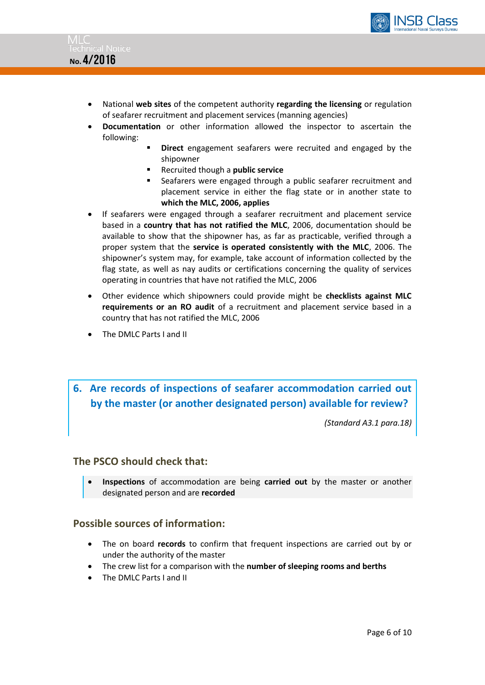



- National **web sites** of the competent authority **regarding the licensing** or regulation of seafarer recruitment and placement services (manning agencies)
- **Documentation** or other information allowed the inspector to ascertain the following:
	- **Direct** engagement seafarers were recruited and engaged by the shipowner
	- Recruited though a **public service**
	- Seafarers were engaged through a public seafarer recruitment and placement service in either the flag state or in another state to **which the MLC, 2006, applies**
- If seafarers were engaged through a seafarer recruitment and placement service based in a **country that has not ratified the MLC**, 2006, documentation should be available to show that the shipowner has, as far as practicable, verified through a proper system that the **service is operated consistently with the MLC**, 2006. The shipowner's system may, for example, take account of information collected by the flag state, as well as nay audits or certifications concerning the quality of services operating in countries that have not ratified the MLC, 2006
- Other evidence which shipowners could provide might be **checklists against MLC requirements or an RO audit** of a recruitment and placement service based in a country that has not ratified the MLC, 2006
- The DMLC Parts I and II

# **6. Are records of inspections of seafarer accommodation carried out by the master (or another designated person) available for review?**

*(Standard A3.1 para.18)*

#### **The PSCO should check that:**

 **Inspections** of accommodation are being **carried out** by the master or another designated person and are **recorded**

- The on board **records** to confirm that frequent inspections are carried out by or under the authority of the master
- The crew list for a comparison with the **number of sleeping rooms and berths**
- The DMLC Parts I and II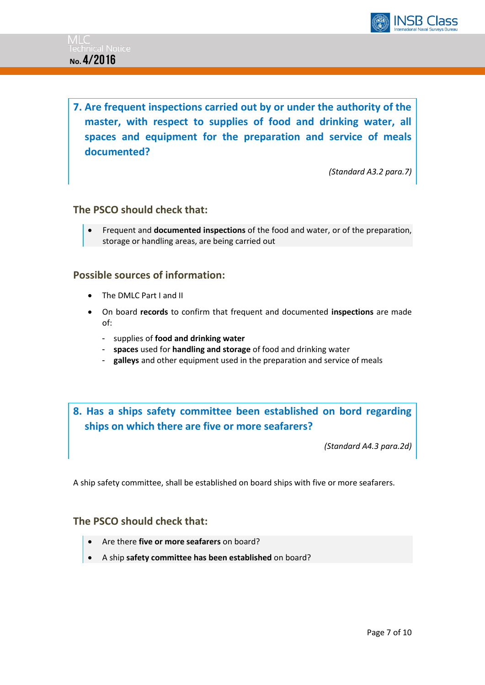

**7. Are frequent inspections carried out by or under the authority of the master, with respect to supplies of food and drinking water, all spaces and equipment for the preparation and service of meals documented?**

*(Standard A3.2 para.7)*

#### **The PSCO should check that:**

 Frequent and **documented inspections** of the food and water, or of the preparation, storage or handling areas, are being carried out

#### **Possible sources of information:**

- The DMLC Part I and II
- On board **records** to confirm that frequent and documented **inspections** are made of:
	- supplies of **food and drinking water**
	- **spaces** used for **handling and storage** of food and drinking water
	- galleys and other equipment used in the preparation and service of meals

# **8. Has a ships safety committee been established on bord regarding ships on which there are five or more seafarers?**

*(Standard A4.3 para.2d)*

A ship safety committee, shall be established on board ships with five or more seafarers.

#### **The PSCO should check that:**

- Are there **five or more seafarers** on board?
- A ship **safety committee has been established** on board?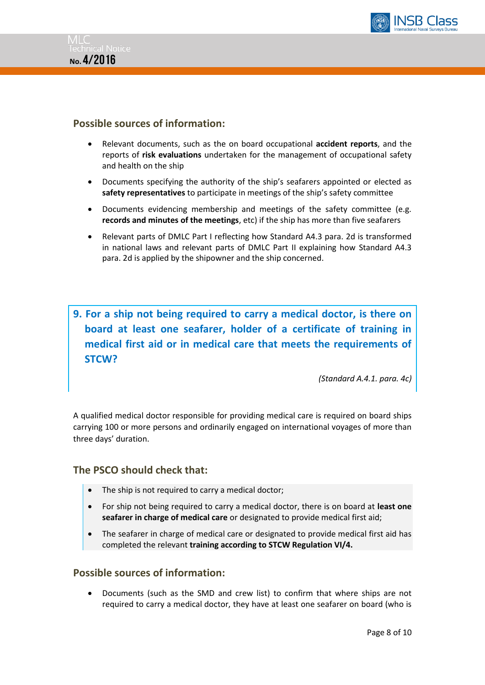



#### **Possible sources of information:**

- Relevant documents, such as the on board occupational **accident reports**, and the reports of **risk evaluations** undertaken for the management of occupational safety and health on the ship
- Documents specifying the authority of the ship's seafarers appointed or elected as **safety representatives** to participate in meetings of the ship's safety committee
- Documents evidencing membership and meetings of the safety committee (e.g. **records and minutes of the meetings**, etc) if the ship has more than five seafarers
- Relevant parts of DMLC Part I reflecting how Standard A4.3 para. 2d is transformed in national laws and relevant parts of DMLC Part II explaining how Standard A4.3 para. 2d is applied by the shipowner and the ship concerned.

**9. For a ship not being required to carry a medical doctor, is there on board at least one seafarer, holder of a certificate of training in medical first aid or in medical care that meets the requirements of STCW?** 

*(Standard A.4.1. para. 4c)*

A qualified medical doctor responsible for providing medical care is required on board ships carrying 100 or more persons and ordinarily engaged on international voyages of more than three days' duration.

#### **The PSCO should check that:**

- The ship is not required to carry a medical doctor;
- For ship not being required to carry a medical doctor, there is on board at **least one seafarer in charge of medical care** or designated to provide medical first aid;
- The seafarer in charge of medical care or designated to provide medical first aid has completed the relevant **training according to STCW Regulation VI/4.**

#### **Possible sources of information:**

 Documents (such as the SMD and crew list) to confirm that where ships are not required to carry a medical doctor, they have at least one seafarer on board (who is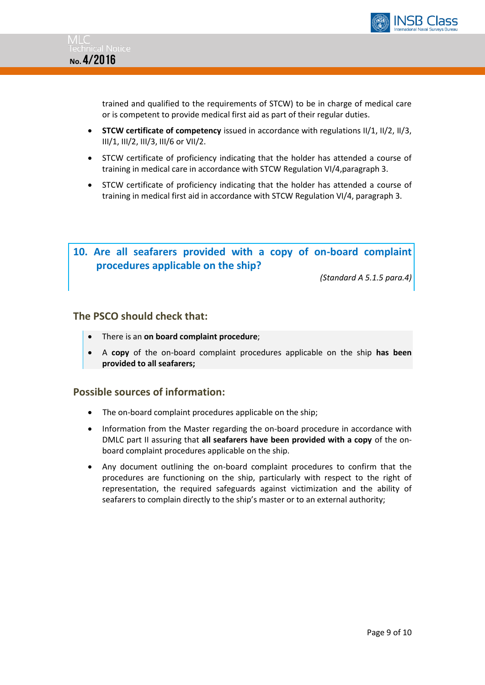



trained and qualified to the requirements of STCW) to be in charge of medical care or is competent to provide medical first aid as part of their regular duties.

- **STCW certificate of competency** issued in accordance with regulations II/1, II/2, II/3, III/1, III/2, III/3, III/6 or VII/2.
- STCW certificate of proficiency indicating that the holder has attended a course of training in medical care in accordance with STCW Regulation VI/4,paragraph 3.
- STCW certificate of proficiency indicating that the holder has attended a course of training in medical first aid in accordance with STCW Regulation VI/4, paragraph 3.

# **10. Are all seafarers provided with a copy of on-board complaint procedures applicable on the ship?**

*(Standard A 5.1.5 para.4)*

#### **The PSCO should check that:**

- There is an **on board complaint procedure**;
- A **copy** of the on-board complaint procedures applicable on the ship **has been provided to all seafarers;**

- The on-board complaint procedures applicable on the ship;
- Information from the Master regarding the on-board procedure in accordance with DMLC part II assuring that **all seafarers have been provided with a copy** of the onboard complaint procedures applicable on the ship.
- Any document outlining the on-board complaint procedures to confirm that the procedures are functioning on the ship, particularly with respect to the right of representation, the required safeguards against victimization and the ability of seafarers to complain directly to the ship's master or to an external authority;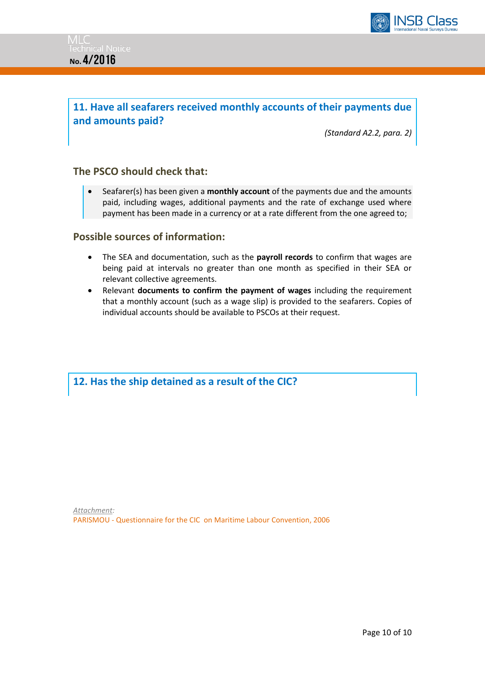

# **11. Have all seafarers received monthly accounts of their payments due and amounts paid?**

*(Standard A2.2, para. 2)*

#### **The PSCO should check that:**

 Seafarer(s) has been given a **monthly account** of the payments due and the amounts paid, including wages, additional payments and the rate of exchange used where payment has been made in a currency or at a rate different from the one agreed to;

#### **Possible sources of information:**

- The SEA and documentation, such as the **payroll records** to confirm that wages are being paid at intervals no greater than one month as specified in their SEA or relevant collective agreements.
- Relevant **documents to confirm the payment of wages** including the requirement that a monthly account (such as a wage slip) is provided to the seafarers. Copies of individual accounts should be available to PSCOs at their request.

**12. Has the ship detained as a result of the CIC?**

*Attachment:* PARISMOU - Questionnaire for the CIC on Maritime Labour Convention, 2006